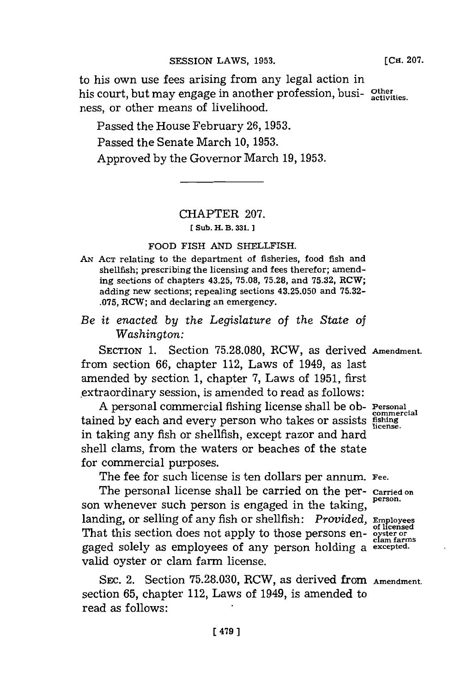to his own use fees arising from any legal action in his court, but may engage in another profession, busi**activities.**

ness, or other means of livelihood.

Passed the House February 26, 1953. Passed the Senate March **10, 1953.** Approved **by** the Governor March **19, 1953.**

# CHAPTER **207.**

**[ Sub. H. B. 331.**

# FOOD FISH **AND** SHELLFISH.

- *AN* **ACT** relating to the department of fisheries, food fish and shellfish; prescribing the licensing and fees therefor; amending sections of chapters 43.25, **75.08, 75.28,** and **75.32,** RCW; adding new sections; repealing sections **43.25.050** and **75.32- .075,** RCW; and declaring an emergency.
- *Be it enacted by the Legislature of the State of Washington:*

SECTION **1.** Section **75.28.080,** RCW, as derived **Amendment.** from section **66,** chapter 112, Laws of 1949, as last amended **by** section **1,** chapter **7,** Laws of **1951,** first extraordinary session, is amended to read as follows:

**A** personal commercial fishing license shall be ob- **Personal\*** tained by each and every person who takes or assists fishing in taking any fish or shellfish, except razor and hard shell clams, from the waters or beaches of the state for commercial purposes.

The fee for such license is ten dollars per annum. Fee.

The personal license shall be carried on the per- **Carried on** son whenever such person is engaged in the taking, landing, or selling of any fish or shellfish: *Provided,* **Employees** That this section does not apply to those persons en- **of all of the solution**<br>gaged solely as employees of any person holding a excepted. valid oyster or clam farm license.

SEC. 2. Section 75.28.030, RCW, as derived from **Amendment.** section **65,** chapter 112, Laws of 1949, is amended to read as follows: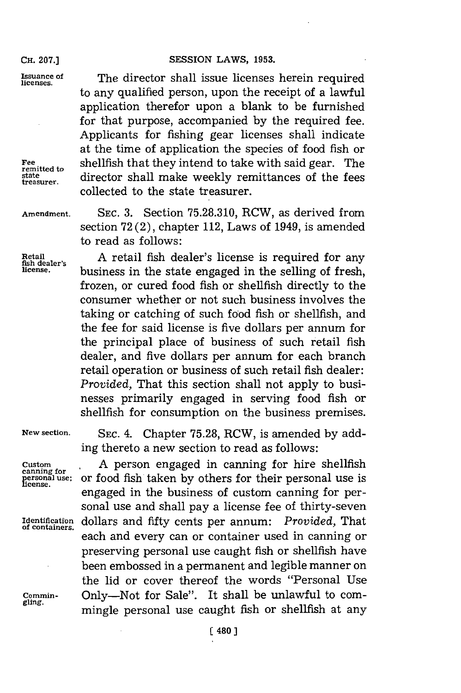### CH. 207.] **SESSION LAWS, 1953.**

**Issuance of** The director shall issue licenses herein required to any qualified person, upon the receipt of a lawful application therefor upon a blank to be furnished for that purpose, accompanied **by** the required fee. Applicants for fishing gear licenses shall indicate at the time of application the species of food fish or Fee shellfish that they intend to take with said gear. The **that externally director shall make weekly remittances of the fees** collected to the state treasurer.

**Amendment. SEC. 3.** Section **75.28.310,** RCW, as derived from section **72** (2), chapter 112, Laws of 1949, is amended to read as follows:

Retail **1** A retail fish dealer's license is required for any **license,** business in the state engaged in the selling of fresh, frozen, or cured food fish or shellfish directly to the consumer whether or not such business involves the taking or catching of such food fish or shellfish, and the fee for said license is five dollars per annum. for the principal place of business of such retail fish dealer, and five dollars per annum for each branch retail operation or business of such retail fish dealer: *Provided,* That this section shall not apply to businesses primarily engaged in serving food fish or shellfish for consumption on the business premises.

**New section. SEC.** 4. Chapter **75.28,** RCW, is amended **by** adding thereto a new section to read as follows:

Custom **Custom** A person engaged in canning for hire shellfish personal use; or food fish taken by others for their personal use is license. or food fish taken by others for their personal use is engaged in the business of custom canning for personal use and shall pay a license fee of thirty-seven Identification dollars and fifty cents per annum: *Provided*, That of containers. each and every can or container used in canning or preserving personal use caught fish or shellfish have been embossed in a permanent and legible manner on the lid or cover thereof the words "Personal Use **Commin-** Only-Not for Sale". It shall be unlawful to commingle personal use caught fish or shellfish at any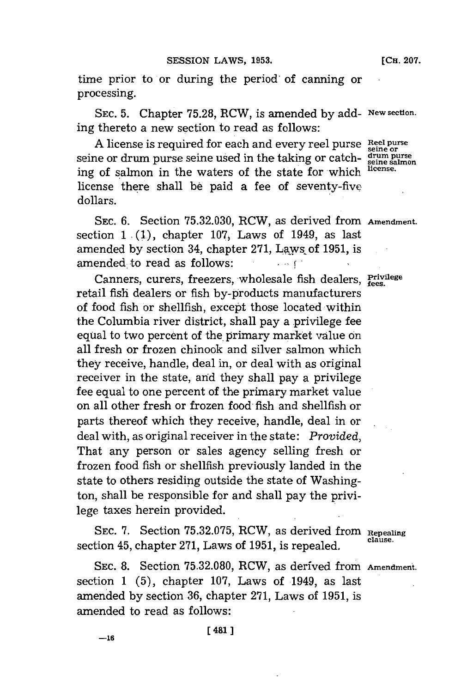time prior to or during the period of canning or processing.

**SEC. 5.** Chapter **75.28,** RCW, is amended **by** add- **New section.** ing thereto a new section to read as follows:

A license is required for each and every reel purse Reel purse seine or drum purse seine used in the taking or catch- **drum purse** ing of salmon in the waters of the state for which license. license there shall **be** paid a fee of seventy-five dollars.

**SEC. 6.** Section **75.32.030,** RCW, as derived from **Amendment.** section **1 (1.),** chapter **107,** Laws of 1949, as last amended **by** section 34, chapter **271,** Laws~of **1951,** is amended. to read as follows:  $\sim$ 

Canners, curers, freezers, wholesale fish dealers, **Privilege** retail fish dealers or fish by-products manufacturers of food fish or shellfish, except those located within the Columbia river district, shall pay a privilege fee equal to two percent of the primary market vadlue on all fresh or frozen Chinook and silver salmon which they receive, handle, deal in, or deal with as original receiver in the state, and they shall pay a privilege **fee** equal to one percent of the primary market value on all other fresh or frozen food fish and shellfish or parts thereof which they receive, handle, deal in or deal with, as original receiver in the state: *Provided,* That any person or sales agency selling fresh or frozen food fish or shellfish previously landed in the state to others residing outside the state of Washington, shall be responsible for and shall pay the privilege taxes herein provided.

**SEC. 7.** Section **75.32.075,** RCW, as derived from **Repealing** section 45, chapter 271, Laws of 1951, is repealed.

**SEC. 8.** Section **75.32.080,** RCW, as derived from **Amendment.** section **1 (5),** chapter **107,** Laws of 1949, as last amended **by** section **36,** chapter **271,** Laws of **1951,** is amended to read as follows: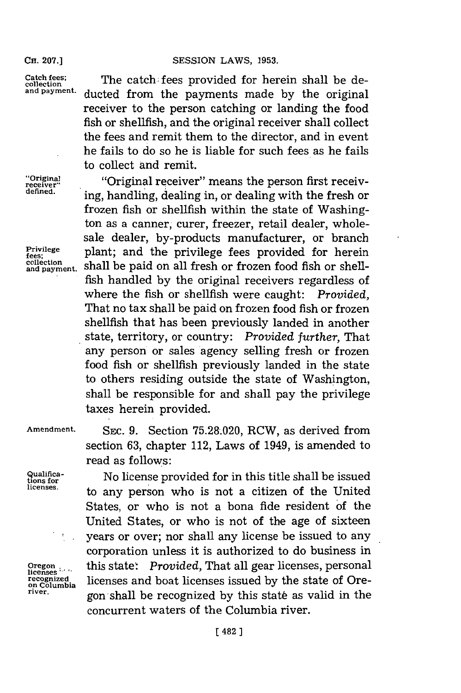### **CH. 207.] SESSION** LAWS, **1953.**

Catch fees; The catch fees provided for herein shall be de**and payment.** ducted from the payments made **by** the original receiver to the person catching or landing the food fish or shellfish, and the original receiver shall collect the fees and remit them to the director, and in event he fails to do so he is liable for such fees as he fails to collect and remit.

**"rceier** "Original receiver" means the person first receiving, handling, dealing in, or dealing with the fresh or frozen fish or shellfish within the state of Washington as a canner, curer, freezer, retail dealer, wholesale dealer, by-products manufacturer, or branch sale dealer, by-products manufacturer,<br>Privilege plant; and the privilege fees provided rees: pi piant, and the privilege rees provided for herein<br>collection and payment. Shall be paid on all fresh or frozen food fish or shellfish handled **by** the original receivers regardless of where the fish or shellfish were caught: *Provided,* That no tax shall be paid on frozen food fish or frozen shellfish that has been previously landed in another state, territory, or country: *Provided further,* That any person or sales agency selling fresh or frozen food fish or shellfish previously landed in the state to others residing outside the state of Washington, shall be responsible for and shall pay the privilege taxes herein provided.

**Amendment.** SEC. **.9.** Section **75.28-.020,** RCW, as derived from section **63,** chapter 112, Laws of 1949, is amended to read as follows:

**Qtiosfoca** No license provided for in this title shall be issued licenses. to any person who is not a citizen of the United States, or who is not a bona fide resident of the United States, or who is not of the age of sixteen years or over; nor shall any license be issued to any corporation unless it is authorized to do business in this state\*. *Provided,* That all gear licenses, personal **Cregon**<br>*licenses*<br>*recognized is a licenses and boat licenses issued by the state of Ore-<br>on Columbia licenses and boat licenses issued by the state of Ore***river.** gon shall be recognized **by** this stat6 as valid in the concurrent waters of the Columbia river.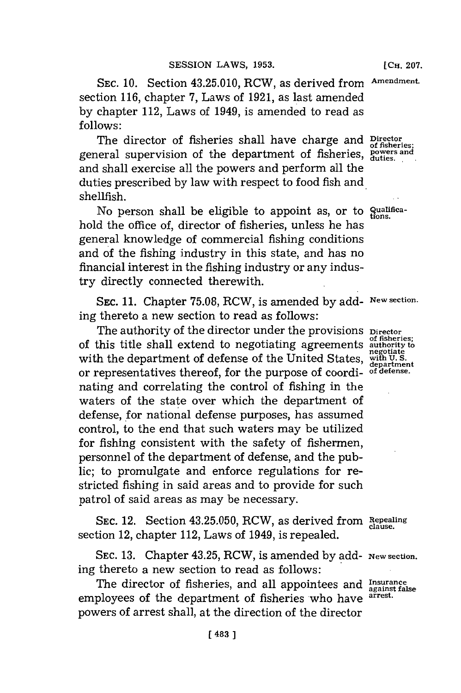**SEC. 10.** Section 43.25.010, RCW, as derived from **Am-endment.** section **116,** chapter **7,** Laws of **1921,** as last amended **by** chapter 112, Laws of 1949, is amended to read as **follows:**

The director of fisheries shall have charge and **Director** of fisheries: general supervision of the department of fisheries, **powers and duties,** and shall exercise all the powers and perform all the duties prescribed **by** law with respect to food fish and shellfish.

No person shall be eligible to appoint as, or to *qualifica*hold the office of, director of fisheries, unless he has general knowledge of commercial fishing conditions and of the fishing industry in this state, and has no financial interest in the fishing industry or any industry directly connected therewith.

SEC. **11.** Chapter **75.08,** RCW, is amended **by** add- **New section.** ing thereto a new section to read as follows:

The authority of the director under the provisions **Director** of this title shall extend to negotiating agreements **authority to** Let the department of defense of the United States, with the department of defense of the United States, with U.S. or representatives thereof, for the purpose of coordi- **of defense.** nating and correlating the control of fishing in the waters of the state over which the department of defense, for national defense purposes, has assumed control, to the end that such waters may be utilized for fishing consistent with the safety of fishermen, personnel of the department of defense, and the public; to promulgate and enforce regulations for restricted fishing in said areas and to provide for such patrol of said areas as may be necessary.

**SEC.** 12. Section **43.25.050,** RCW, as derived from **Repaling clue.** section 12, chapter 112, Laws of 1949, is repealed.

**SEC. 13.** Chapter 43.25, RCW, is amended **by** add- **New section.** ing thereto a new section to read as follows:

The director of fisheries, and all appointees and Insurance against false employees of the department of fisheries who have **arrest.** powers of arrest shall, at the direction of the director

**of fisheries;**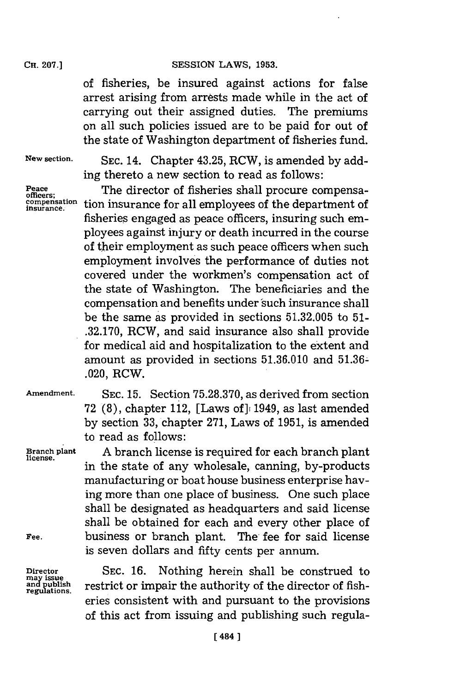# **CH. 207.] SESSION** LAWS, **1953.**

of fisheries, be insured against actions for false arrest arising from arrests made while in the act of carrying out their assigned duties. The premiums on all such policies issued are to be paid for out of the state of Washington department of fisheries fund.

**New section. SEC.** 14. Chapter 43.25, RCW, is amended **by** adding thereto a new section to read as follows:

Peace **The director of fisheries shall procure compensa**compensation tion insurance for all employees of the department of fisheries engaged as peace officers, insuring such employees against injury or death incurred in the course of their employment as such peace officers when such employment involves the performance of duties not covered under the workmen's compensation act of the state of Washington. The beneficiaries and the compensation and benefits under'such insurance shall be the same as provided in sections **51.32.005** to **51- .32.170,** RCW, and said insurance also shall provide for medical aid and hospitalization to the extent and amount as provided in sections  $51.36.010$  and  $51.36-$ .020, RCW.

**Amendment. SEC. 15.** Section **75.28.370,** as derived from section **72 (8),** chapter 112, [Laws of]i 11949, as last amended **by** section **33,** chapter **271,** Laws of **1951,** is amended to read as follows:

**Branch plant A** branch license is required for each branch plant **license.** in the state of any wholesale, canning, by-products manufacturing or boat house business enterprise having more than one place of business. One such place shall be designated as headquarters and said license shall be obtained for each and every other place of Fee. **business or branch plant.** The fee for said license is seven dollars and fifty cents per annum.

Director SEC. 16. Nothing herein shall be construed to and publish restrict or impair the authority of the director of fishrestrict or impair the authority of the director of fisheries consistent with and pursuant to the provisions of this act from issuing and publishing such regula-